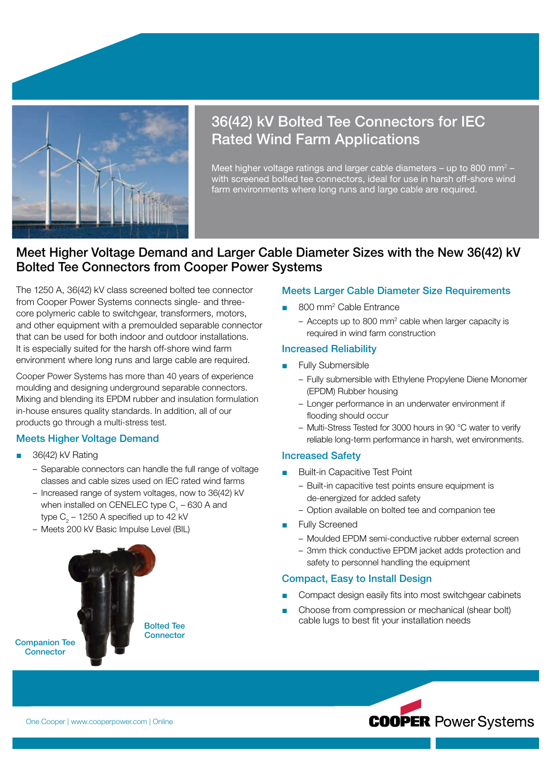

# 36(42) kV Bolted Tee Connectors for IEC Rated Wind Farm Applications

Meet higher voltage ratings and larger cable diameters  $-$  up to 800 mm<sup>2</sup>  $$ with screened bolted tee connectors, ideal for use in harsh off-shore wind farm environments where long runs and large cable are required.

# Meet Higher Voltage Demand and Larger Cable Diameter Sizes with the New 36(42) kV Bolted Tee Connectors from Cooper Power Systems

The 1250 A, 36(42) kV class screened bolted tee connector from Cooper Power Systems connects single- and threecore polymeric cable to switchgear, transformers, motors, and other equipment with a premoulded separable connector that can be used for both indoor and outdoor installations. It is especially suited for the harsh off-shore wind farm environment where long runs and large cable are required.

Cooper Power Systems has more than 40 years of experience moulding and designing underground separable connectors. Mixing and blending its EPDM rubber and insulation formulation in-house ensures quality standards. In addition, all of our products go through a multi-stress test.

## Meets Higher Voltage Demand

- 36(42) kV Rating
	- Separable connectors can handle the full range of voltage classes and cable sizes used on IEC rated wind farms
	- Increased range of system voltages, now to 36(42) kV when installed on CENELEC type  $C_1^2 - 630$  A and type C $_2$  – 1250 A specified up to 42 kV
	- Meets 200 kV Basic Impulse Level (BIL)



## Meets Larger Cable Diameter Size Requirements

- 800 mm<sup>2</sup> Cable Entrance
	- Accepts up to 800 mm<sup>2</sup> cable when larger capacity is required in wind farm construction

### Increased Reliability

- Fully Submersible
	- Fully submersible with Ethylene Propylene Diene Monomer (EPDM) Rubber housing
	- Longer performance in an underwater environment if flooding should occur
	- Multi-Stress Tested for 3000 hours in 90 °C water to verify reliable long-term performance in harsh, wet environments.

#### Increased Safety

- **Built-in Capacitive Test Point** 
	- Built-in capacitive test points ensure equipment is de-energized for added safety
	- Option available on bolted tee and companion tee
- Fully Screened
	- Moulded EPDM semi-conductive rubber external screen
	- 3mm thick conductive EPDM jacket adds protection and safety to personnel handling the equipment

## Compact, Easy to Install Design

- Compact design easily fits into most switchgear cabinets
- Choose from compression or mechanical (shear bolt) cable lugs to best fit your installation needs



**COOPER Power Systems**